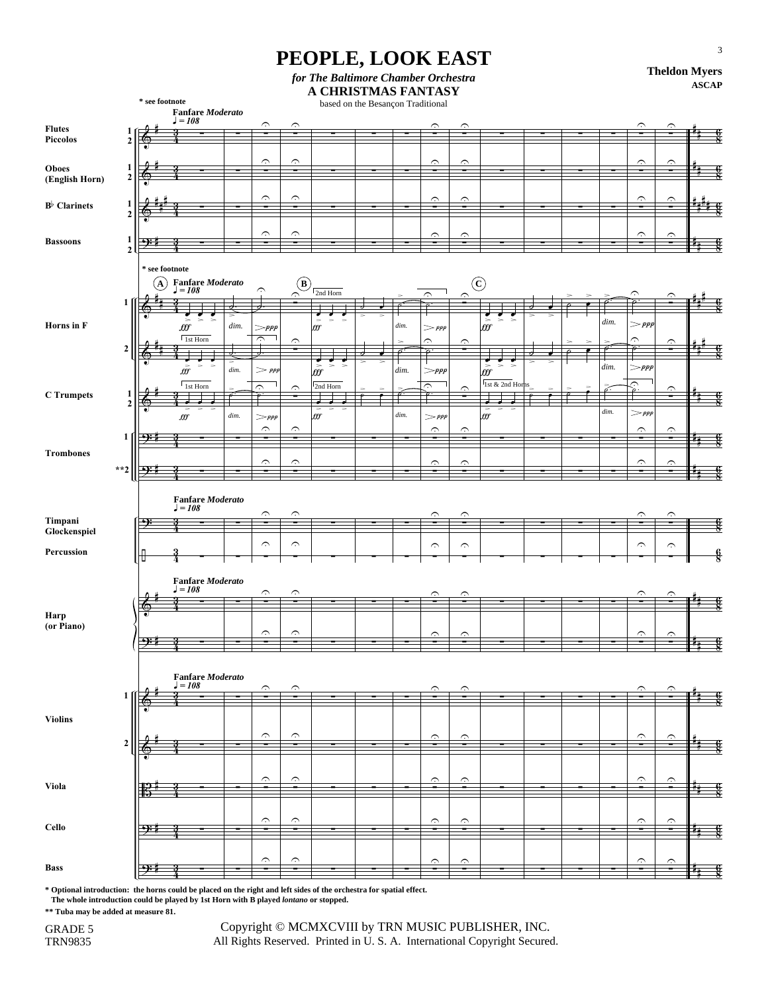## **PEOPLE, LOOK EAST**

*for The Baltimore Chamber Orchestra*

**Theldon Myers ASCAP**

|                       |                  |                |                                                                        |        |                              |                            | A CHRISTMAS FANTASY                                 |         |                              |                              |                                            |  |      |                         |                         | AGCAL         |
|-----------------------|------------------|----------------|------------------------------------------------------------------------|--------|------------------------------|----------------------------|-----------------------------------------------------|---------|------------------------------|------------------------------|--------------------------------------------|--|------|-------------------------|-------------------------|---------------|
|                       |                  | * see footnote |                                                                        |        |                              |                            | based on the Besançon Traditional                   |         |                              |                              |                                            |  |      |                         |                         |               |
|                       |                  |                | $\label{eq:1} {\bf Fanfare \textit{Modern} to}$<br>$J = 108$           |        |                              |                            |                                                     |         |                              |                              |                                            |  |      |                         |                         |               |
| <b>Flutes</b>         | 1                |                |                                                                        |        | $\widehat{\phantom{a}}$      | ⌒                          |                                                     |         | C.                           | ⌒                            |                                            |  |      | ⌒                       | ⌒                       |               |
| Piccolos              | $\mathbf 2$      |                |                                                                        |        |                              |                            |                                                     |         |                              |                              |                                            |  |      |                         |                         |               |
|                       |                  |                |                                                                        |        |                              |                            |                                                     |         |                              |                              |                                            |  |      |                         |                         |               |
|                       |                  |                |                                                                        |        | $\widehat{\phantom{a}}$      | $\widehat{\phantom{a}}$    |                                                     |         | $\hat{\phantom{a}}$          | $\hat{ }$                    |                                            |  |      | $\widehat{\phantom{a}}$ | $\hat{\phantom{a}}$     |               |
| <b>Oboes</b>          | 1<br>$\mathbf 2$ |                |                                                                        |        | $\blacksquare$               | -                          |                                                     |         | -                            | $\blacksquare$               |                                            |  |      | $\blacksquare$          |                         |               |
| (English Horn)        |                  |                |                                                                        |        |                              |                            |                                                     |         |                              |                              |                                            |  |      |                         |                         |               |
|                       |                  |                |                                                                        |        | $\widehat{\phantom{m}}$      | $\widehat{\phantom{m}}$    |                                                     |         | $\hat{ }$                    | $\hat{ }$                    |                                            |  |      | $\widehat{\phantom{a}}$ | ؞                       |               |
| $B^{\flat}$ Clarinets | 1                |                |                                                                        |        |                              |                            |                                                     |         | -                            |                              |                                            |  |      |                         |                         |               |
|                       | $\overline{2}$   |                |                                                                        |        |                              |                            |                                                     |         |                              |                              |                                            |  |      |                         |                         |               |
|                       |                  |                |                                                                        |        | $\widehat{\phantom{a}}$      | د                          |                                                     |         | $\widehat{\phantom{a}}$      | $\hat{ }$                    |                                            |  |      | ⌒                       | ⌒                       |               |
| <b>Bassoons</b>       | $\mathbf{1}$     | 4):            |                                                                        |        |                              |                            |                                                     |         |                              |                              |                                            |  |      |                         |                         |               |
|                       | $\overline{2}$   |                |                                                                        |        |                              |                            |                                                     |         |                              |                              |                                            |  |      |                         |                         |               |
|                       |                  | * see footnote |                                                                        |        |                              |                            |                                                     |         |                              |                              |                                            |  |      |                         |                         |               |
|                       |                  |                |                                                                        |        |                              |                            |                                                     |         |                              |                              |                                            |  |      |                         |                         |               |
|                       |                  | $\mathbf{A}$   | Fanfare <i>Moderato</i><br>$J = 108$                                   |        | Ć                            | $\left( \mathbf{B}\right)$ | 2nd Horn                                            |         |                              | $^\copyright$                |                                            |  |      |                         |                         |               |
|                       | 1                |                |                                                                        |        |                              | ⌒                          |                                                     |         | r.                           | ⌒                            |                                            |  |      | C                       |                         |               |
|                       |                  |                |                                                                        |        | ᆏ                            |                            |                                                     |         |                              |                              |                                            |  |      |                         |                         |               |
| Horns in F            |                  |                | $\Rightarrow$<br>$\Rightarrow$<br>$f\!f\!f$                            | dim.   |                              |                            | $\int_{\partial \mathcal{G}}$<br>$\Rightarrow$<br>- | $\dim.$ |                              |                              | $\frac{1}{\pi}$<br>$\geq$<br>$\Rightarrow$ |  | dim. | $>$ ppp                 |                         |               |
|                       |                  |                |                                                                        |        | =ppp                         |                            |                                                     |         | $>$ $ppp$                    |                              |                                            |  |      |                         |                         |               |
|                       | $\boldsymbol{2}$ |                | $1st$ Horn                                                             |        | $\widehat{\phantom{m}}$      | ⌒                          |                                                     |         | ⌒                            | ⌒                            |                                            |  |      | ⌒                       | ⌒                       |               |
|                       |                  |                |                                                                        |        |                              |                            |                                                     |         | ₽                            |                              |                                            |  |      |                         |                         |               |
|                       |                  |                | $\bar{\tilde{\mathcal{BF}}}$                                           | dim.   | $>$ $ppp$                    |                            | $\Rightarrow$<br>m<br>$\Rightarrow$                 | dim.    | $>$ ppp                      |                              | $\zeta$<br>m<br>$\,$                       |  | dim. | $>$ ppp                 |                         |               |
|                       |                  |                |                                                                        |        |                              |                            |                                                     |         |                              |                              |                                            |  |      |                         |                         |               |
|                       |                  |                | 1st Horn                                                               |        | ⌒                            | ⌒                          | 2nd Horn                                            |         | $\widehat{\phantom{a}}$<br>ø | r.                           | 1st & 2nd Horns                            |  |      | ⌒                       | ⌒                       |               |
| <b>C</b> Trumpets     | $\frac{1}{2}$    |                |                                                                        |        |                              |                            | ⋥                                                   |         |                              |                              | ⋥                                          |  |      |                         |                         |               |
|                       |                  |                | $f\!f\!f$                                                              | $\dim$ |                              |                            | ×,<br>  fff                                         | $\dim.$ | $>$ $ppp$                    |                              | $\int_{\partial f}$<br>÷.                  |  | dim. | $>$ ppp                 |                         |               |
|                       |                  |                |                                                                        |        | $>_{ppp}$                    |                            |                                                     |         |                              |                              |                                            |  |      |                         |                         |               |
|                       | 1                | <u>ុះ</u>      |                                                                        |        | $\widehat{\phantom{m}}$      | د                          |                                                     |         | $\widehat{\phantom{a}}$      | Ĉ                            |                                            |  |      | $\widehat{\phantom{a}}$ | ⌒                       |               |
|                       |                  |                |                                                                        |        |                              |                            |                                                     |         |                              |                              |                                            |  |      |                         |                         |               |
| <b>Trombones</b>      |                  |                |                                                                        |        | $\curvearrowright$           | ⌒                          |                                                     |         |                              |                              |                                            |  |      |                         |                         |               |
|                       | $**2$            |                |                                                                        |        |                              |                            |                                                     |         | پر                           | $\hat{ }$                    |                                            |  |      | ⌒                       | C.                      |               |
|                       |                  |                |                                                                        |        |                              |                            |                                                     |         |                              |                              |                                            |  |      |                         |                         |               |
|                       |                  |                |                                                                        |        |                              |                            |                                                     |         |                              |                              |                                            |  |      |                         |                         |               |
|                       |                  |                |                                                                        |        |                              |                            |                                                     |         |                              |                              |                                            |  |      |                         |                         |               |
|                       |                  |                | <b>Fanfare Moderato</b>                                                |        |                              |                            |                                                     |         |                              |                              |                                            |  |      |                         |                         |               |
|                       |                  |                | $J = 108$                                                              |        | $\widehat{\phantom{a}}$      | ⌒                          |                                                     |         |                              |                              |                                            |  |      | ⌒                       |                         |               |
| Timpani               |                  | 9              |                                                                        |        |                              |                            |                                                     |         |                              |                              |                                            |  |      |                         |                         |               |
| Glockenspiel          |                  |                |                                                                        |        |                              |                            |                                                     |         |                              |                              |                                            |  |      |                         |                         |               |
|                       |                  |                |                                                                        |        | $\widehat{\phantom{m}}$      | $\widehat{\phantom{a}}$    |                                                     |         | $\widehat{\phantom{m}}$      | $\widehat{\phantom{m}}$      |                                            |  |      | Ć                       | $\widehat{\phantom{m}}$ |               |
| Percussion            |                  | ℍ              | 4                                                                      |        |                              |                            |                                                     |         |                              |                              |                                            |  |      |                         |                         | $\frac{6}{8}$ |
|                       |                  |                |                                                                        |        |                              |                            |                                                     |         |                              |                              |                                            |  |      |                         |                         |               |
|                       |                  |                | <b>Fanfare Moderato</b>                                                |        |                              |                            |                                                     |         |                              |                              |                                            |  |      |                         |                         |               |
|                       |                  |                | $=108$                                                                 |        | $\widehat{\phantom{a}}$      | C                          |                                                     |         |                              |                              |                                            |  |      | ⌒                       |                         |               |
|                       |                  |                |                                                                        |        |                              |                            |                                                     |         |                              |                              |                                            |  |      |                         |                         |               |
| Harp                  |                  | €              |                                                                        |        |                              |                            |                                                     |         |                              |                              |                                            |  |      |                         |                         |               |
| (or Piano)            |                  |                |                                                                        |        |                              |                            |                                                     |         |                              |                              |                                            |  |      |                         |                         |               |
|                       |                  |                |                                                                        |        | $\widehat{\phantom{a}}$      | د                          |                                                     |         | $\Omega$                     | $\hat{ }$                    |                                            |  |      | $\curvearrowright$      | $\curvearrowright$      |               |
|                       |                  | $\Theta$ :     |                                                                        |        |                              |                            |                                                     |         |                              |                              |                                            |  |      |                         |                         |               |
|                       |                  |                |                                                                        |        |                              |                            |                                                     |         |                              |                              |                                            |  |      |                         |                         |               |
|                       |                  |                |                                                                        |        |                              |                            |                                                     |         |                              |                              |                                            |  |      |                         |                         |               |
|                       |                  |                |                                                                        |        |                              |                            |                                                     |         |                              |                              |                                            |  |      |                         |                         |               |
|                       | 1                |                | $\begin{array}{l}\textbf{Fanfare}\;Model \\ \textbf{J}=108\end{array}$ |        | $\widehat{\phantom{a}}$      | Ć                          |                                                     |         |                              | $\hat{\mathbf{r}}$           |                                            |  |      | ⌒                       |                         |               |
|                       |                  |                |                                                                        |        |                              |                            |                                                     |         |                              |                              |                                            |  |      |                         |                         |               |
| <b>Violins</b>        |                  |                |                                                                        |        |                              |                            |                                                     |         |                              |                              |                                            |  |      |                         |                         |               |
|                       |                  |                |                                                                        |        |                              |                            |                                                     |         |                              |                              |                                            |  |      |                         |                         |               |
|                       |                  |                |                                                                        |        | $\widehat{\phantom{a}}$      | $\widehat{\phantom{m}}$    |                                                     |         | $\hat{ }$                    | $\widehat{\phantom{a}}$      |                                            |  |      | $\widehat{\phantom{m}}$ | $\curvearrowright$      |               |
|                       | $\boldsymbol{2}$ |                |                                                                        |        |                              |                            |                                                     |         |                              |                              |                                            |  |      |                         |                         | $\frac{6}{8}$ |
|                       |                  |                |                                                                        |        |                              |                            |                                                     |         |                              |                              |                                            |  |      |                         |                         |               |
|                       |                  |                |                                                                        |        |                              |                            |                                                     |         |                              |                              |                                            |  |      |                         |                         |               |
| Viola                 |                  |                |                                                                        |        | $\widehat{\phantom{a}}$<br>- | $\curvearrowright$<br>÷    |                                                     |         | $\hat{\phantom{a}}$          | $\hat{ }$<br>÷               |                                            |  |      | $\widehat{\phantom{a}}$ | $\curvearrowright$      |               |
|                       |                  |                |                                                                        |        |                              |                            |                                                     |         |                              |                              |                                            |  |      |                         |                         | ģ<br>- 1      |
|                       |                  |                |                                                                        |        |                              |                            |                                                     |         |                              |                              |                                            |  |      |                         |                         |               |
|                       |                  |                |                                                                        |        | $\widehat{\phantom{a}}$      | $\widehat{\phantom{a}}$    |                                                     |         | $\widehat{\phantom{a}}$      | $\widehat{\phantom{a}}$      |                                            |  |      | $\widehat{\phantom{a}}$ | $\widehat{\phantom{a}}$ |               |
| Cello                 |                  | <u>ှေ</u>      |                                                                        |        |                              |                            |                                                     |         |                              |                              |                                            |  |      |                         |                         |               |
|                       |                  |                |                                                                        |        |                              |                            |                                                     |         |                              |                              |                                            |  |      |                         |                         | $\frac{6}{8}$ |
|                       |                  |                |                                                                        |        |                              |                            |                                                     |         |                              |                              |                                            |  |      |                         |                         |               |
| <b>Bass</b>           |                  | <u>→):</u>     |                                                                        |        | $\widehat{\phantom{m}}$<br>- | $\widehat{\phantom{a}}$    |                                                     |         | $\curvearrowright$<br>-      | $\widehat{\phantom{a}}$<br>- |                                            |  |      | Ć<br>۰,                 | ⌒                       |               |
|                       |                  |                |                                                                        |        |                              |                            |                                                     |         |                              |                              |                                            |  |      |                         |                         |               |

4 ∑ ∑ ∑ ∑ ∑ ∑ ∑ **\* Optional introduction: the horns could be placed on the right and left sides of the orchestra for spatial effect.**

 **The whole introduction could be played by 1st Horn with B played** *lontano* **or stopped.** 

**\*\* Tuba may be added at measure 81.**

TRN9835 GRADE 5

 Copyright © MCMXCVIII by TRN MUSIC PUBLISHER, INC. All Rights Reserved. Printed in U. S. A. International Copyright Secured.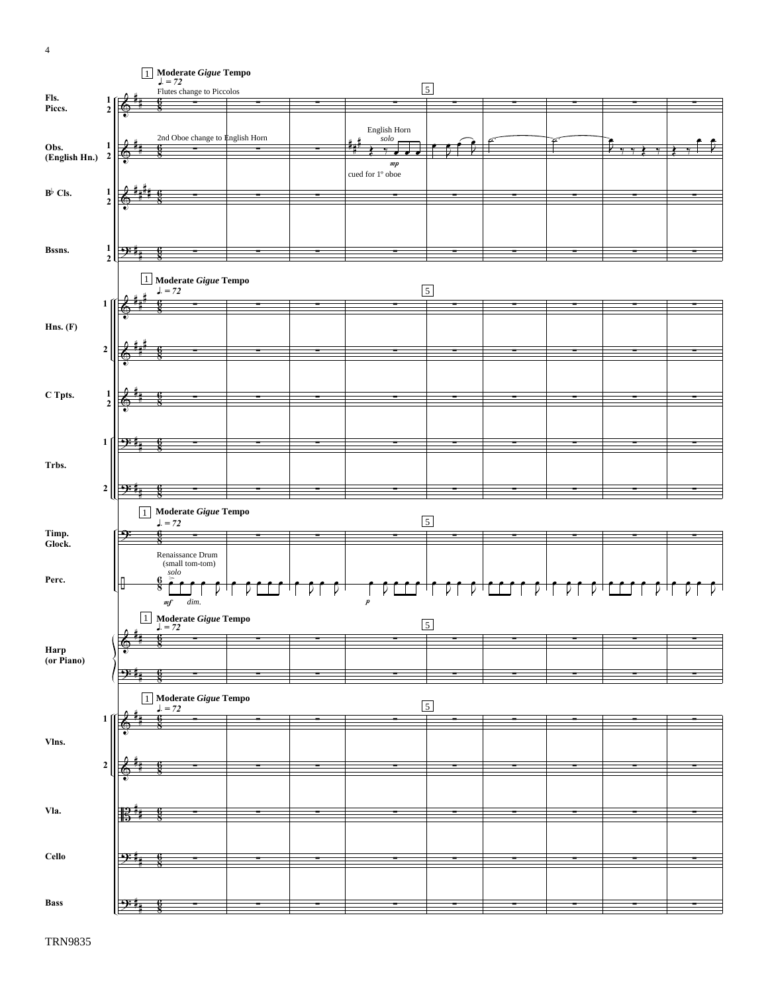4



TRN9835